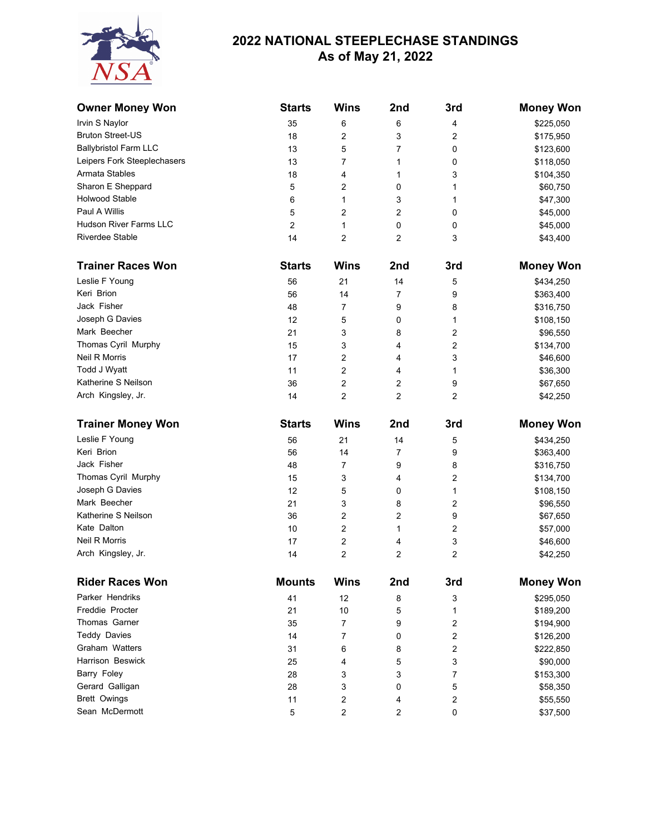

## **2022 NATIONAL STEEPLECHASE STANDINGS As of May 21, 2022**

| <b>Owner Money Won</b>                | <b>Starts</b> | <b>Wins</b>                                        | 2nd            | 3rd                     | <b>Money Won</b>     |
|---------------------------------------|---------------|----------------------------------------------------|----------------|-------------------------|----------------------|
| Irvin S Naylor                        | 35            | 6                                                  | 6              | 4                       | \$225,050            |
| <b>Bruton Street-US</b>               | 18            | 2                                                  | 3              | 2                       | \$175,950            |
| <b>Ballybristol Farm LLC</b>          | 13            | 5                                                  | $\overline{7}$ | 0                       | \$123,600            |
| Leipers Fork Steeplechasers           | 13            | 7                                                  | 1              | 0                       | \$118,050            |
| Armata Stables                        | 18            | 4                                                  | 1              | 3                       | \$104,350            |
| Sharon E Sheppard                     | 5             | 2                                                  | 0              | 1                       | \$60,750             |
| <b>Holwood Stable</b>                 | 6             | 1                                                  | 3              | 1                       | \$47,300             |
| Paul A Willis                         | 5             | 2                                                  | 2              | 0                       | \$45,000             |
| Hudson River Farms LLC                | 2             | 1                                                  | 0              | 0                       | \$45,000             |
| Riverdee Stable                       | 14            | 2                                                  | 2              | 3                       | \$43,400             |
| <b>Trainer Races Won</b>              | <b>Starts</b> | <b>Wins</b>                                        | 2nd            | 3rd                     | <b>Money Won</b>     |
| Leslie F Young                        | 56            | 21                                                 | 14             | 5                       | \$434,250            |
| Keri Brion                            | 56            | 14                                                 | $\overline{7}$ | 9                       | \$363,400            |
| Jack Fisher                           | 48            | 7                                                  | 9              | 8                       | \$316,750            |
| Joseph G Davies                       | 12            | 5                                                  | 0              | 1                       | \$108,150            |
| Mark Beecher                          | 21            | 3                                                  | 8              | $\overline{2}$          | \$96,550             |
| Thomas Cyril Murphy                   | 15            | 3                                                  | 4              | $\overline{2}$          | \$134,700            |
| Neil R Morris                         | 17            | 2                                                  | 4              | 3                       | \$46,600             |
| Todd J Wyatt                          | 11            | 2                                                  | 4              | 1                       | \$36,300             |
| Katherine S Neilson                   | 36            | 2                                                  | 2              | 9                       | \$67,650             |
| Arch Kingsley, Jr.                    | 14            | 2                                                  | $\overline{2}$ | 2                       | \$42,250             |
| <b>Trainer Money Won</b>              | <b>Starts</b> | <b>Wins</b>                                        | 2nd            | 3rd                     | <b>Money Won</b>     |
| Leslie F Young                        | 56            | 21                                                 | 14             | 5                       | \$434,250            |
| Keri Brion                            | 56            | 14                                                 | $\overline{7}$ | 9                       | \$363,400            |
| Jack Fisher                           | 48            | 7                                                  | 9              | 8                       | \$316,750            |
| Thomas Cyril Murphy                   | 15            | 3                                                  | 4              | $\overline{\mathbf{c}}$ | \$134,700            |
| Joseph G Davies                       | 12            | 5                                                  | 0              | $\mathbf{1}$            | \$108,150            |
| Mark Beecher                          | 21            | 3                                                  | 8              | 2                       | \$96,550             |
| Katherine S Neilson                   | 36            | 2                                                  | 2              | 9                       | \$67,650             |
| Kate Dalton                           | 10            | 2                                                  | 1              | 2                       | \$57,000             |
| Neil R Morris                         | 17            | 2                                                  | 4              | 3                       | \$46,600             |
| Arch Kingsley, Jr.                    | 14            | 2                                                  | 2              | $\overline{\mathbf{c}}$ | \$42,250             |
| <b>Rider Races Won</b>                | <b>Mounts</b> | <b>Wins</b>                                        | 2nd            | 3rd                     | <b>Money Won</b>     |
| Parker Hendriks                       | 41            | 12                                                 | 8              | 3                       | \$295,050            |
| Freddie Procter                       | 21            | 10                                                 | 5              | 1                       | \$189,200            |
| Thomas Garner                         | 35            | $\overline{7}$                                     | 9              | $\overline{\mathbf{c}}$ | \$194,900            |
| <b>Teddy Davies</b>                   | 14            | 7                                                  | 0              | $\sqrt{2}$              | \$126,200            |
| Graham Watters                        | 31            | 6                                                  | 8              | $\sqrt{2}$              | \$222,850            |
| Harrison Beswick                      | 25            | 4                                                  | 5              | 3                       | \$90,000             |
| Barry Foley                           | 28            | 3                                                  | 3              | 7                       | \$153,300            |
| Gerard Galligan                       |               |                                                    |                |                         |                      |
|                                       |               |                                                    |                |                         |                      |
|                                       | 28            | 3                                                  | 0              | 5                       | \$58,350             |
| <b>Brett Owings</b><br>Sean McDermott | 11<br>5       | $\overline{\mathbf{c}}$<br>$\overline{\mathbf{c}}$ | 4<br>2         | $\sqrt{2}$<br>0         | \$55,550<br>\$37,500 |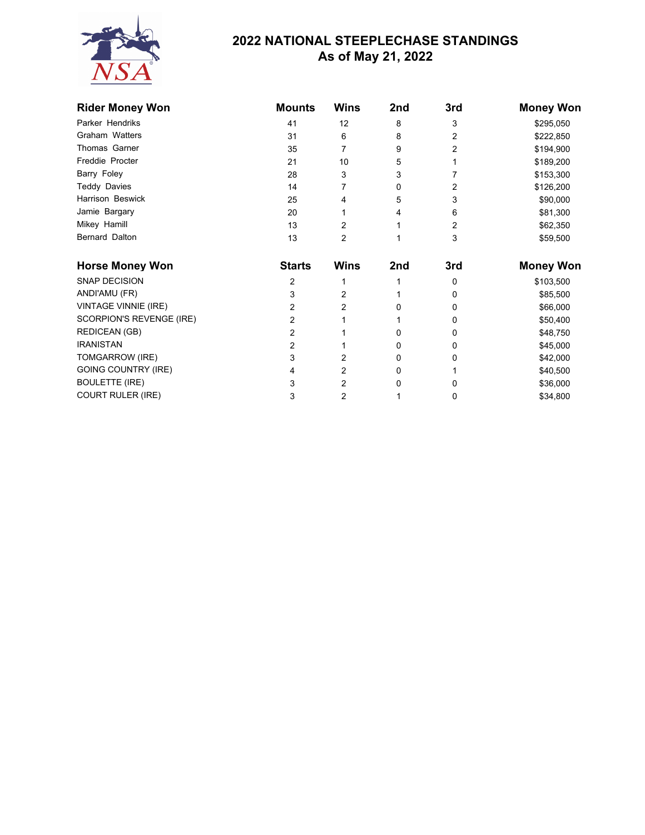

## **2022 NATIONAL STEEPLECHASE STANDINGS As of May 21, 2022**

| <b>Rider Money Won</b>      | <b>Mounts</b>  | <b>Wins</b> | 2nd | 3rd | <b>Money Won</b> |
|-----------------------------|----------------|-------------|-----|-----|------------------|
| Parker Hendriks             | 41             | 12          | 8   | 3   | \$295,050        |
| Graham Watters              | 31             | 6           | 8   | 2   | \$222,850        |
| Thomas Garner               | 35             | 7           | 9   | 2   | \$194,900        |
| Freddie Procter             | 21             | 10          | 5   |     | \$189,200        |
| Barry Foley                 | 28             | 3           | 3   |     | \$153,300        |
| Teddy Davies                | 14             |             | 0   | 2   | \$126,200        |
| Harrison Beswick            | 25             | 4           | 5   | 3   | \$90,000         |
| Jamie Bargary               | 20             |             | 4   | 6   | \$81,300         |
| Mikey Hamill                | 13             | 2           |     | 2   | \$62,350         |
| Bernard Dalton              | 13             | 2           |     | 3   | \$59,500         |
| <b>Horse Money Won</b>      | <b>Starts</b>  | <b>Wins</b> | 2nd | 3rd | <b>Money Won</b> |
| <b>SNAP DECISION</b>        | 2              |             |     | 0   | \$103,500        |
| ANDI'AMU (FR)               | 3              | 2           |     | 0   | \$85,500         |
| <b>VINTAGE VINNIE (IRE)</b> | $\overline{c}$ | 2           | 0   | 0   | \$66,000         |
| SCORPION'S REVENGE (IRE)    | 2              |             |     | 0   | \$50,400         |
| <b>REDICEAN (GB)</b>        | 2              |             | 0   | 0   | \$48,750         |
| <b>IRANISTAN</b>            | $\overline{c}$ |             | 0   | 0   | \$45,000         |
| TOMGARROW (IRE)             | 3              | 2           | 0   | 0   | \$42,000         |
| <b>GOING COUNTRY (IRE)</b>  | 4              | 2           | 0   |     | \$40,500         |
| <b>BOULETTE (IRE)</b>       | 3              | 2           | 0   | 0   | \$36,000         |
| <b>COURT RULER (IRE)</b>    | 3              | 2           |     | 0   | \$34,800         |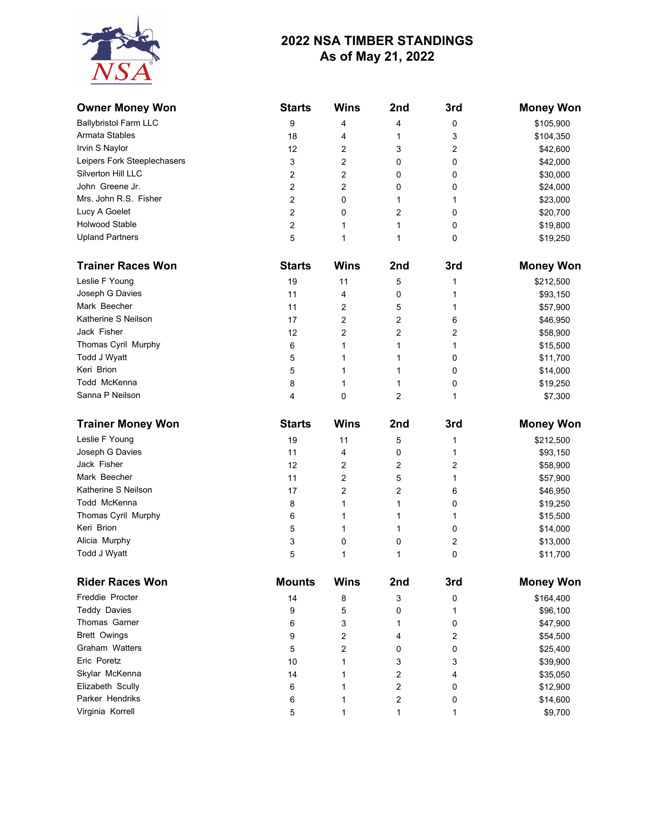## **2022 NSA TIMBER STANDINGS As of May 21, 2022**



| <b>Owner Money Won</b>                | <b>Starts</b>  | <b>Wins</b>    | 2nd            | 3rd                     | <b>Money Won</b>     |
|---------------------------------------|----------------|----------------|----------------|-------------------------|----------------------|
| <b>Ballybristol Farm LLC</b>          | 9              | 4              | 4              | 0                       | \$105,900            |
| Armata Stables                        | 18             | 4              | 1              | 3                       | \$104,350            |
| Irvin S Naylor                        | 12             | 2              | 3              | 2                       | \$42,600             |
| Leipers Fork Steeplechasers           | 3              | 2              | 0              | 0                       | \$42,000             |
| Silverton Hill LLC                    | $\overline{c}$ | 2              | 0              | 0                       | \$30,000             |
| John Greene Jr.                       | $\overline{c}$ | $\overline{2}$ | 0              | 0                       | \$24,000             |
| Mrs. John R.S. Fisher                 | $\overline{c}$ | 0              | 1              | 1                       | \$23,000             |
| Lucy A Goelet                         | $\overline{c}$ | 0              | $\overline{2}$ | 0                       | \$20,700             |
| <b>Holwood Stable</b>                 | $\overline{c}$ | 1              | 1              | 0                       | \$19,800             |
| <b>Upland Partners</b>                | 5              | 1              | 1              | 0                       | \$19,250             |
| <b>Trainer Races Won</b>              | <b>Starts</b>  | <b>Wins</b>    | 2nd            | 3rd                     | <b>Money Won</b>     |
| Leslie F Young                        | 19             | 11             | 5              | 1                       | \$212,500            |
| Joseph G Davies                       | 11             | 4              | 0              | 1                       | \$93,150             |
| Mark Beecher                          | 11             | 2              | 5              | 1                       | \$57,900             |
| Katherine S Neilson                   | 17             | 2              | 2              | 6                       | \$46,950             |
| Jack Fisher                           | 12             | $\overline{2}$ | $\overline{2}$ | $\overline{c}$          | \$58,900             |
| Thomas Cyril Murphy                   | 6              | 1              | 1              | 1                       | \$15,500             |
| Todd J Wyatt                          | 5              | 1              | 1              | 0                       | \$11,700             |
| Keri Brion                            | 5              | 1              | 1              | 0                       | \$14,000             |
| Todd McKenna                          | 8              | 1              | 1              | 0                       | \$19,250             |
| Sanna P Neilson                       | 4              | 0              | $\overline{c}$ | 1                       | \$7,300              |
| <b>Trainer Money Won</b>              | <b>Starts</b>  | <b>Wins</b>    | 2nd            | 3rd                     | <b>Money Won</b>     |
| Leslie F Young                        | 19             | 11             | 5              | 1                       | \$212,500            |
|                                       | 11             | 4              | 0              | 1                       | \$93,150             |
| Joseph G Davies                       |                |                |                |                         |                      |
| Jack Fisher                           | 12             | 2              | 2              |                         |                      |
| Mark Beecher                          | 11             | $\overline{2}$ | 5              | 2<br>1                  | \$58,900             |
| Katherine S Neilson                   | 17             | 2              | 2              | 6                       | \$57,900             |
| Todd McKenna                          | 8              | 1              | 1              | 0                       | \$46,950             |
| Thomas Cyril Murphy                   | 6              | 1              | 1              | 1                       | \$19,250             |
| Keri Brion                            | 5              | 1              | 1              | 0                       | \$15,500             |
| Alicia Murphy                         | 3              | 0              | 0              | $\overline{\mathbf{c}}$ | \$14,000             |
| Todd J Wyatt                          | 5              | 1              | 1              | 0                       | \$13,000<br>\$11,700 |
| <b>Rider Races Won</b>                | <b>Mounts</b>  | <b>Wins</b>    | 2nd            | 3rd                     |                      |
| Freddie Procter                       |                |                |                |                         | <b>Money Won</b>     |
|                                       | 14             | 8              | 3              | 0                       | \$164,400            |
| <b>Teddy Davies</b>                   | 9              | 5              | 0              | 1                       | \$96,100             |
| Thomas Garner                         | 6              | 3              | 1              | 0                       | \$47,900             |
| <b>Brett Owings</b><br>Graham Watters | 9<br>5         | 2<br>2         | 4<br>0         | $\overline{\mathbf{c}}$ | \$54,500             |
| Eric Poretz                           |                | 1              |                | 0                       | \$25,400             |
|                                       | 10             |                | 3              | 3                       | \$39,900             |
| Skylar McKenna                        | 14             | 1<br>1         | 2              | 4                       | \$35,050             |
| Elizabeth Scully<br>Parker Hendriks   | 6              | 1              | 2              | 0<br>0                  | \$12,900             |
| Virginia Korrell                      | 6<br>5         | 1              | 2<br>1         | 1                       | \$14,600<br>\$9,700  |